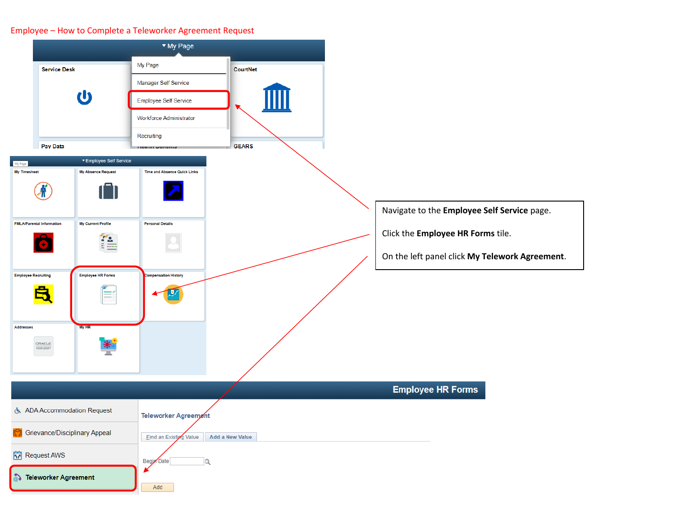## Employee – How to Complete a Teleworker Agreement Request

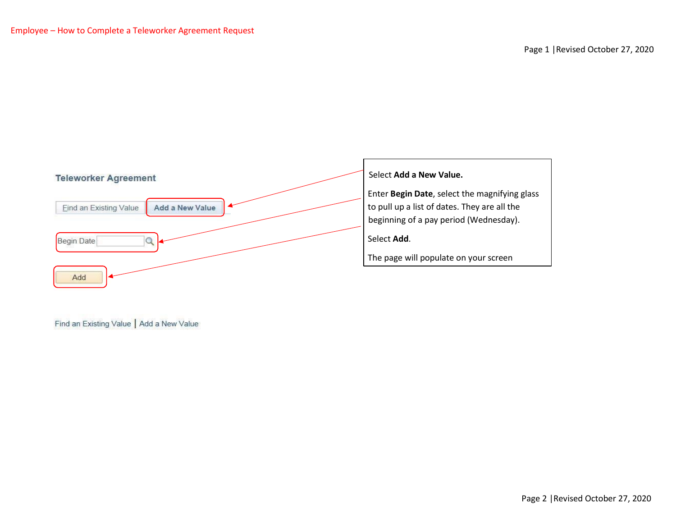



 Enter **Begin Date**, select the magnifying glass to pull up a list of dates. They are all the beginning of a pay period (Wednesday).

Select **Add**.

The page will populate on your screen

Find an Existing Value | Add a New Value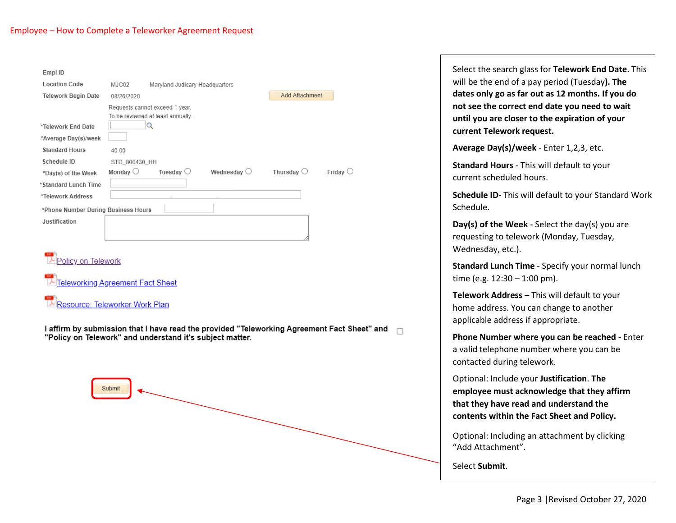## Employee – How to Complete a Teleworker Agreement Request

Submit

| Empl ID                                                  |                   |                                                                     |                      |                     |                                                                                             |  |
|----------------------------------------------------------|-------------------|---------------------------------------------------------------------|----------------------|---------------------|---------------------------------------------------------------------------------------------|--|
| <b>Location Code</b>                                     | MJC02             | Maryland Judicary Headquarters                                      |                      |                     |                                                                                             |  |
| <b>Telework Begin Date</b>                               | 08/26/2020        |                                                                     |                      | Add Attachment      |                                                                                             |  |
|                                                          |                   | Requests cannot exceed 1 year.<br>To be reviewed at least annually. |                      |                     |                                                                                             |  |
| *Telework End Date                                       |                   | Q                                                                   |                      |                     |                                                                                             |  |
| *Average Day(s)/week                                     |                   |                                                                     |                      |                     |                                                                                             |  |
| <b>Standard Hours</b>                                    | 40.00             |                                                                     |                      |                     |                                                                                             |  |
| Schedule ID                                              | STD 800430 HH     |                                                                     |                      |                     |                                                                                             |  |
| *Day(s) of the Week                                      | Monday $\bigcirc$ | Tuesday $\bigcirc$                                                  | Wednesday $\bigcirc$ | Thursday $\bigcirc$ | Friday $\bigcirc$                                                                           |  |
| *Standard Lunch Time                                     |                   |                                                                     |                      |                     |                                                                                             |  |
| *Telework Address                                        |                   |                                                                     |                      |                     |                                                                                             |  |
| *Phone Number During Business Hours                      |                   |                                                                     |                      |                     |                                                                                             |  |
| Justification                                            |                   |                                                                     |                      |                     |                                                                                             |  |
| Policy on Telework                                       |                   |                                                                     |                      |                     |                                                                                             |  |
| T Teleworking Agreement Fact Sheet                       |                   |                                                                     |                      |                     |                                                                                             |  |
| Resource: Teleworker Work Plan                           |                   |                                                                     |                      |                     |                                                                                             |  |
| "Policy on Telework" and understand it's subject matter. |                   |                                                                     |                      |                     | I affirm by submission that I have read the provided "Teleworking Agreement Fact Sheet" and |  |

Select the search glass for **Telework End Date**. This will be the end of a pay period (Tuesday**). The dates only go as far out as 12 months. If you do not see the correct end date you need to wait until you are closer to the expiration of your current Telework request.**

**Average Day(s)/week** - Enter 1,2,3, etc.

**Standard Hours** - This will default to your current scheduled hours.

**Schedule ID**- This will default to your Standard Work Schedule.

**Day(s) of the Week** - Select the day(s) you are requesting to telework (Monday, Tuesday, Wednesday, etc.).

**Standard Lunch Time** - Specify your normal lunch time (e.g. 12:30 – 1:00 pm).

**Telework Address** – This will default to your home address. You can change to another applicable address if appropriate.

**Phone Number where you can be reached** - Enter a valid telephone number where you can be contacted during telework.

Optional: Include your **Justification**. **The employee must acknowledge that they affirm that they have read and understand the contents within the Fact Sheet and Policy.** 

Optional: Including an attachment by clicking "Add Attachment".

Select **Submit**.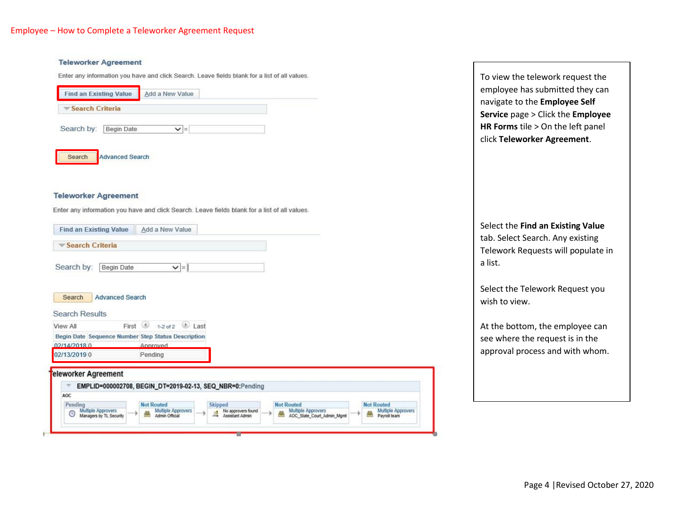#### **Teleworker Agreement**

Enter any information you have and click Search. Leave fields blank for a list of all values.

| Search Criteria |            |     |  |
|-----------------|------------|-----|--|
| Search by:      | Begin Date | $=$ |  |
|                 |            |     |  |

### **Teleworker Agreement**

Enter any information you have and click Search. Leave fields blank for a list of all values.

| Search Criteria                                           |                                                          |                                                        |                                                       |                                    |
|-----------------------------------------------------------|----------------------------------------------------------|--------------------------------------------------------|-------------------------------------------------------|------------------------------------|
|                                                           |                                                          |                                                        |                                                       |                                    |
| Search by:<br><b>Begin Date</b>                           | $\vert - \vert$                                          |                                                        |                                                       |                                    |
| <b>Advanced Search</b><br>Search<br><b>Search Results</b> |                                                          |                                                        |                                                       |                                    |
| First<br>View All                                         | (4)<br>Last<br>$1-2$ of $2$                              |                                                        |                                                       |                                    |
| Begin Date Sequence Number Step Status Description        |                                                          |                                                        |                                                       |                                    |
| 02/14/2018 0                                              | Approved                                                 |                                                        |                                                       |                                    |
| 02/13/2019 0                                              | Pending                                                  |                                                        |                                                       |                                    |
| eleworker Agreement                                       |                                                          |                                                        |                                                       |                                    |
|                                                           | EMPLID=000002708, BEGIN_DT=2019-02-13, SEQ_NBR=0:Pending |                                                        |                                                       |                                    |
| AOC                                                       |                                                          |                                                        |                                                       |                                    |
| Pending                                                   | <b>Not Routed</b>                                        | Skipped                                                | <b>Not Routed</b>                                     | <b>Not Routed</b>                  |
| Multiple Approvers<br>☺<br>Managers by TL Security        | Multiple Approvers<br>Admin Official                     | No approvers found<br>$\frac{1}{2}$<br>Assistant Admin | Multiple Approvers<br>œ<br>AOC_State_Court_Admin_Mgmt | Multiple Approvers<br>Payroll team |

To view the telework request the employee has submitted they can navigate to the **Employee Self Service** page > Click the **Employee HR Forms** tile > On the left panel click **Teleworker Agreement**.

# Select the **Find an Existing Value**  tab. Select Search. Any existing Telework Requests will populate in a list.

Select the Telework Request you wish to view.

At the bottom, the employee can see where the request is in the approval process and with whom.